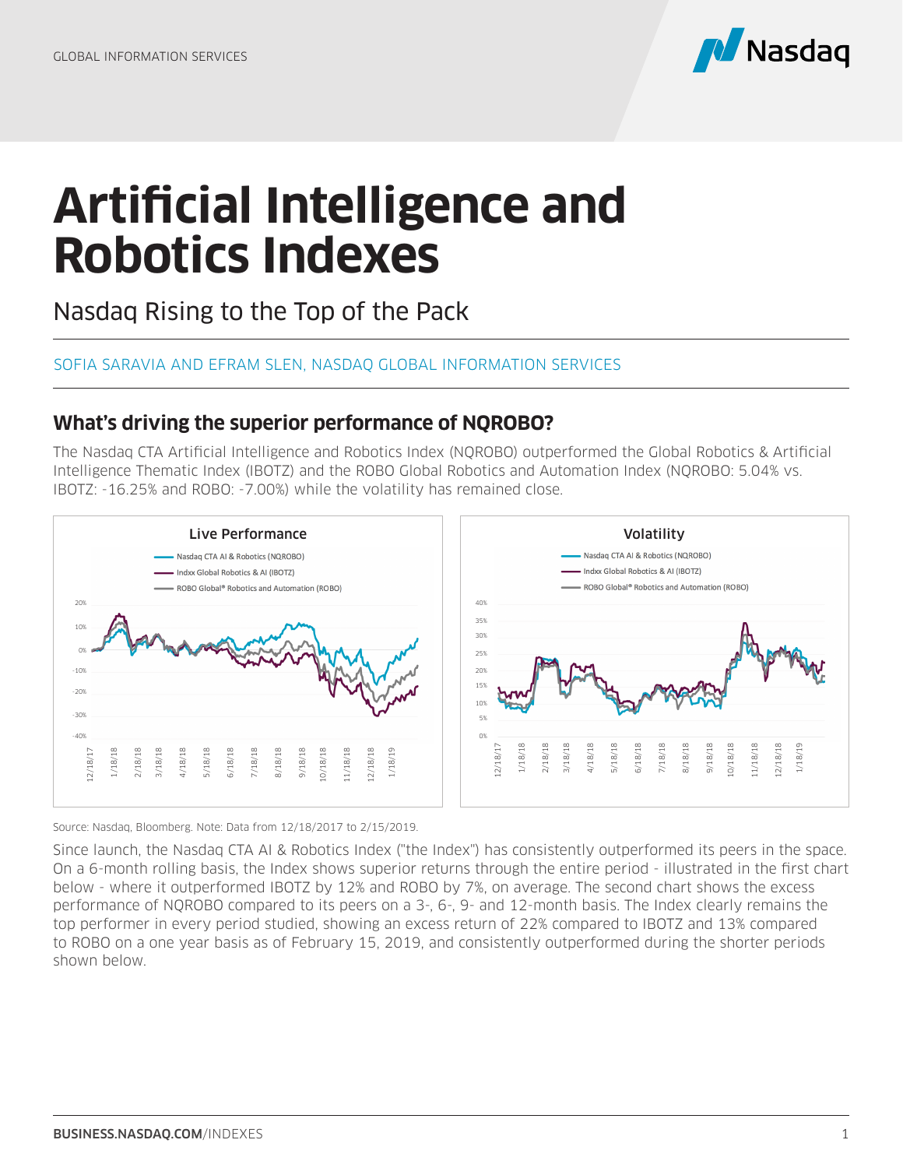

## **Artificial Intelligence and Robotics Indexes**

Nasdaq Rising to the Top of the Pack

## SOFIA SARAVIA AND EFRAM SLEN, NASDAQ GLOBAL INFORMATION SERVICES

## **What's driving the superior performance of NQROBO?**

The Nasdaq CTA Artificial Intelligence and Robotics Index (NQROBO) outperformed the Global Robotics & Artificial Intelligence Thematic Index (IBOTZ) and the ROBO Global Robotics and Automation Index (NQROBO: 5.04% vs. IBOTZ: -16.25% and ROBO: -7.00%) while the volatility has remained close.



Source: Nasdaq, Bloomberg. Note: Data from 12/18/2017 to 2/15/2019.

Since launch, the Nasdaq CTA AI & Robotics Index ("the Index") has consistently outperformed its peers in the space. On a 6-month rolling basis, the Index shows superior returns through the entire period - illustrated in the first chart below - where it outperformed IBOTZ by 12% and ROBO by 7%, on average. The second chart shows the excess performance of NQROBO compared to its peers on a 3-, 6-, 9- and 12-month basis. The Index clearly remains the top performer in every period studied, showing an excess return of 22% compared to IBOTZ and 13% compared to ROBO on a one year basis as of February 15, 2019, and consistently outperformed during the shorter periods shown below.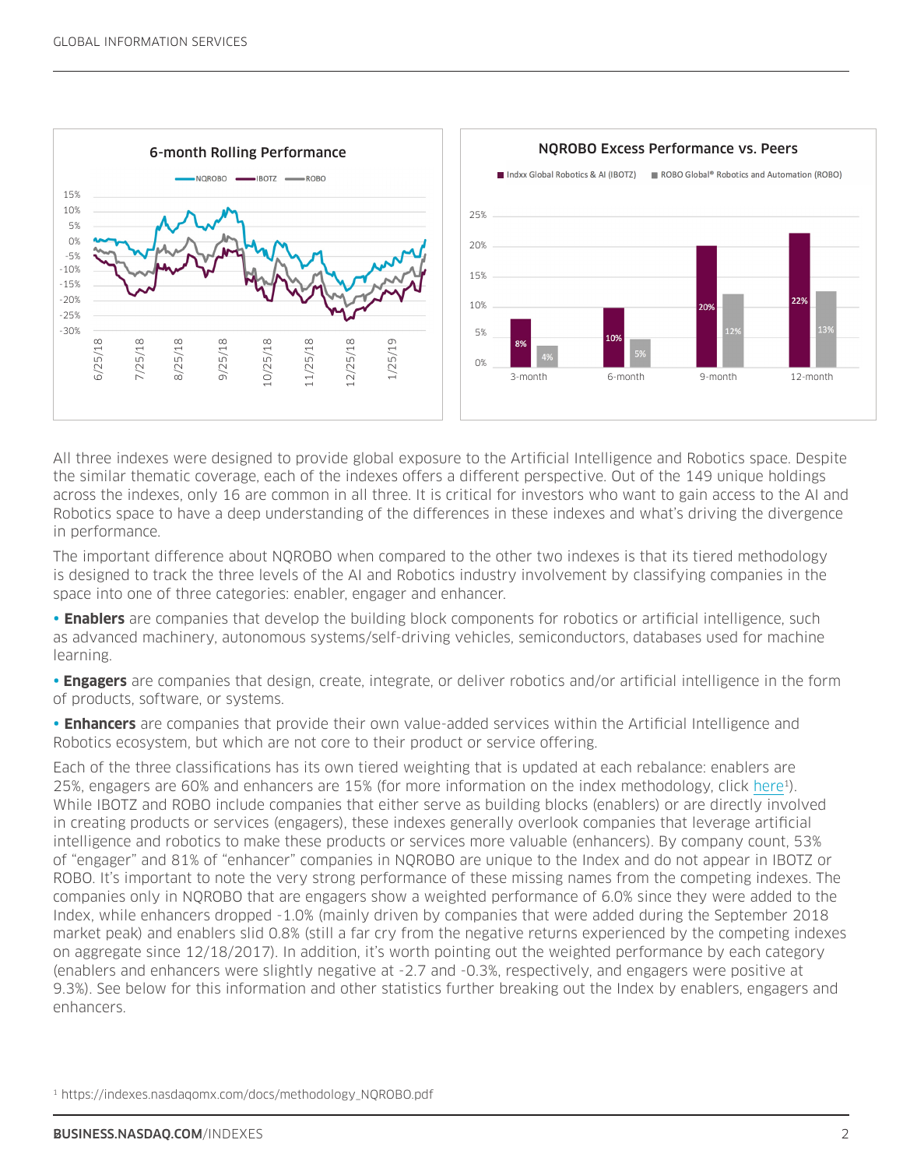

All three indexes were designed to provide global exposure to the Artificial Intelligence and Robotics space. Despite the similar thematic coverage, each of the indexes offers a different perspective. Out of the 149 unique holdings across the indexes, only 16 are common in all three. It is critical for investors who want to gain access to the AI and Robotics space to have a deep understanding of the differences in these indexes and what's driving the divergence in performance.

The important difference about NQROBO when compared to the other two indexes is that its tiered methodology is designed to track the three levels of the AI and Robotics industry involvement by classifying companies in the space into one of three categories: enabler, engager and enhancer.

• **Enablers** are companies that develop the building block components for robotics or artificial intelligence, such as advanced machinery, autonomous systems/self-driving vehicles, semiconductors, databases used for machine learning.

• **Engagers** are companies that design, create, integrate, or deliver robotics and/or artificial intelligence in the form of products, software, or systems.

• **Enhancers** are companies that provide their own value-added services within the Artificial Intelligence and Robotics ecosystem, but which are not core to their product or service offering.

Each of the three classifications has its own tiered weighting that is updated at each rebalance: enablers are 25%, engagers are 60% and enhancers are 15% (for more information on the index methodology, click [here1](https://indexes.nasdaqomx.com/docs/methodology_NQROBO.pdf)). While IBOTZ and ROBO include companies that either serve as building blocks (enablers) or are directly involved in creating products or services (engagers), these indexes generally overlook companies that leverage artificial intelligence and robotics to make these products or services more valuable (enhancers). By company count, 53% of "engager" and 81% of "enhancer" companies in NQROBO are unique to the Index and do not appear in IBOTZ or ROBO. It's important to note the very strong performance of these missing names from the competing indexes. The companies only in NQROBO that are engagers show a weighted performance of 6.0% since they were added to the Index, while enhancers dropped -1.0% (mainly driven by companies that were added during the September 2018 market peak) and enablers slid 0.8% (still a far cry from the negative returns experienced by the competing indexes on aggregate since 12/18/2017). In addition, it's worth pointing out the weighted performance by each category (enablers and enhancers were slightly negative at -2.7 and -0.3%, respectively, and engagers were positive at 9.3%). See below for this information and other statistics further breaking out the Index by enablers, engagers and enhancers. 1 https://indexes.were designed to provide global exponents in the similar thematic coverage, each of the indexes offer across the indexes, only 16 are common in all three. It is not the similar thematic overage to track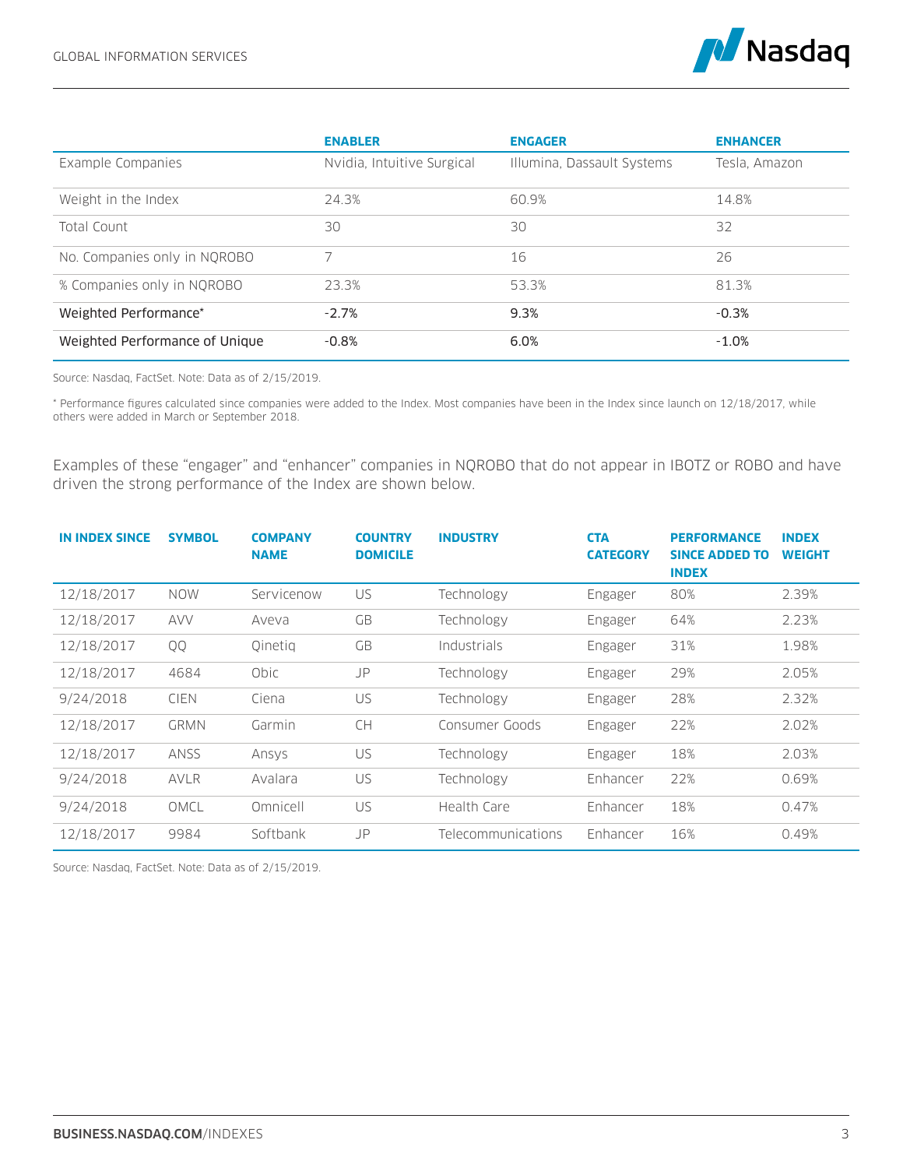

|                                | <b>ENABLER</b>             | <b>ENGAGER</b>             | <b>ENHANCER</b> |
|--------------------------------|----------------------------|----------------------------|-----------------|
| Example Companies              | Nvidia, Intuitive Surgical | Illumina, Dassault Systems | Tesla, Amazon   |
| Weight in the Index            | 24.3%                      | 60.9%                      | 14.8%           |
| Total Count                    | 30                         | 30                         | 32              |
| No. Companies only in NOROBO   | 7                          | 16                         | 26              |
| % Companies only in NQROBO     | 23.3%                      | 53.3%                      | 81.3%           |
| Weighted Performance*          | $-2.7%$                    | 9.3%                       | $-0.3%$         |
| Weighted Performance of Unique | $-0.8%$                    | 6.0%                       | $-1.0%$         |

Source: Nasdaq, FactSet. Note: Data as of 2/15/2019.

\* Performance figures calculated since companies were added to the Index. Most companies have been in the Index since launch on 12/18/2017, while others were added in March or September 2018.

Examples of these "engager" and "enhancer" companies in NQROBO that do not appear in IBOTZ or ROBO and have driven the strong performance of the Index are shown below.

| <b>IN INDEX SINCE</b> | <b>SYMBOL</b> | <b>COMPANY</b><br><b>NAME</b> | <b>COUNTRY</b><br><b>DOMICILE</b> | <b>INDUSTRY</b>    | <b>CTA</b><br><b>CATEGORY</b> | <b>PERFORMANCE</b><br><b>SINCE ADDED TO</b><br><b>INDEX</b> | <b>INDEX</b><br><b>WEIGHT</b> |
|-----------------------|---------------|-------------------------------|-----------------------------------|--------------------|-------------------------------|-------------------------------------------------------------|-------------------------------|
| 12/18/2017            | <b>NOW</b>    | Servicenow                    | US                                | Technology         | Engager                       | 80%                                                         | 2.39%                         |
| 12/18/2017            | <b>AVV</b>    | Aveva                         | GB                                | Technology         | Engager                       | 64%                                                         | 2.23%                         |
| 12/18/2017            | QQ            | Oinetig                       | GB                                | Industrials        | Engager                       | 31%                                                         | 1.98%                         |
| 12/18/2017            | 4684          | Obic                          | JP                                | Technology         | Engager                       | 29%                                                         | 2.05%                         |
| 9/24/2018             | <b>CIEN</b>   | Ciena                         | US.                               | Technology         | Engager                       | 28%                                                         | 2.32%                         |
| 12/18/2017            | <b>GRMN</b>   | Garmin                        | <b>CH</b>                         | Consumer Goods     | Engager                       | 22%                                                         | 2.02%                         |
| 12/18/2017            | <b>ANSS</b>   | Ansys                         | US                                | Technology         | Engager                       | 18%                                                         | 2.03%                         |
| 9/24/2018             | <b>AVLR</b>   | Avalara                       | US                                | Technology         | Enhancer                      | 22%                                                         | 0.69%                         |
| 9/24/2018             | OMCL          | Omnicell                      | US                                | Health Care        | Enhancer                      | 18%                                                         | 0.47%                         |
| 12/18/2017            | 9984          | Softbank                      | JP                                | Telecommunications | Enhancer                      | 16%                                                         | 0.49%                         |

Source: Nasdaq, FactSet. Note: Data as of 2/15/2019.